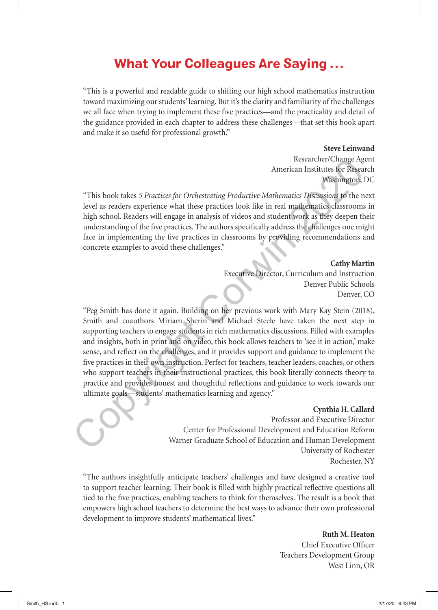## What Your Colleagues Are Saying ...

"This is a powerful and readable guide to shifting our high school mathematics instruction toward maximizing our students' learning. But it's the clarity and familiarity of the challenges we all face when trying to implement these five practices—and the practicality and detail of the guidance provided in each chapter to address these challenges—that set this book apart and make it so useful for professional growth."

### **Steve Leinwand**

Researcher/Change Agent American Institutes for Research Washington, DC

"This book takes *5 Practices for Orchestrating Productive Mathematics Discussions* to the next level as readers experience what these practices look like in real mathematics classrooms in high school. Readers will engage in analysis of videos and student work as they deepen their understanding of the five practices. The authors specifically address the challenges one might face in implementing the five practices in classrooms by providing recommendations and concrete examples to avoid these challenges."

**Cathy Martin**

Executive Director, Curriculum and Instruction Denver Public Schools Denver, CO

"Peg Smith has done it again. Building on her previous work with Mary Kay Stein (2018), Smith and coauthors Miriam Sherin and Michael Steele have taken the next step in supporting teachers to engage students in rich mathematics discussions. Filled with examples and insights, both in print and on video, this book allows teachers to 'see it in action,' make sense, and reflect on the challenges, and it provides support and guidance to implement the five practices in their own instruction. Perfect for teachers, teacher leaders, coaches, or others who support teachers in their instructional practices, this book literally connects theory to practice and provides honest and thoughtful reflections and guidance to work towards our ultimate goals—students' mathematics learning and agency." research? Change age<br>
Areas are a metric of Research (and the SP and the SP and the SP and the SP and the SP and the SP and the SP and the spectroscook like in real mathematics Discussions to the neumal metric and the spec

### **Cynthia H. Callard**

Professor and Executive Director Center for Professional Development and Education Reform Warner Graduate School of Education and Human Development University of Rochester Rochester, NY

"The authors insightfully anticipate teachers' challenges and have designed a creative tool to support teacher learning. Their book is filled with highly practical reflective questions all tied to the five practices, enabling teachers to think for themselves. The result is a book that empowers high school teachers to determine the best ways to advance their own professional development to improve students' mathematical lives."

> **Ruth M. Heaton** Chief Executive Officer Teachers Development Group West Linn, OR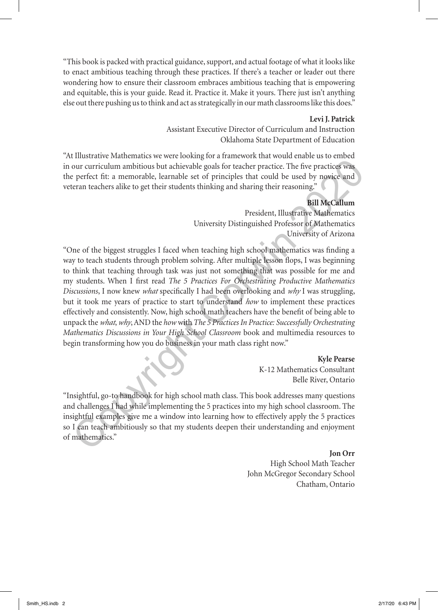"This book is packed with practical guidance, support, and actual footage of what it looks like to enact ambitious teaching through these practices. If there's a teacher or leader out there wondering how to ensure their classroom embraces ambitious teaching that is empowering and equitable, this is your guide. Read it. Practice it. Make it yours. There just isn't anything else out there pushing us to think and act as strategically in our math classrooms like this does."

### **Levi J. Patrick**

Assistant Executive Director of Curriculum and Instruction Oklahoma State Department of Education

"At Illustrative Mathematics we were looking for a framework that would enable us to embed in our curriculum ambitious but achievable goals for teacher practice. The five practices was the perfect fit: a memorable, learnable set of principles that could be used by novice and veteran teachers alike to get their students thinking and sharing their reasoning."

## **Bill McCallum**

President, Illustrative Mathematics University Distinguished Professor of Mathematics University of Arizona

"One of the biggest struggles I faced when teaching high school mathematics was finding a way to teach students through problem solving. After multiple lesson flops, I was beginning to think that teaching through task was just not something that was possible for me and my students. When I first read *The 5 Practices For Orchestrating Productive Mathematics Discussions*, I now knew *what* specifically I had been overlooking and *why* I was struggling, but it took me years of practice to start to understand *how* to implement these practices effectively and consistently. Now, high school math teachers have the benefit of being able to unpack the *what*, *why*, AND the *how* with *The 5 Practices In Practice: Successfully Orchestrating Mathematics Discussions in Your High School Classroom* book and multimedia resources to begin transforming how you do business in your math class right now." our curriculum ambitious but achievable goals for teacher practice. The five practices was<br>perfect fit: a memorable, learnable set of principles that could be used by novice and<br>perfect fit: a memorable, learnable set of

# **Kyle Pearse**

K-12 Mathematics Consultant Belle River, Ontario

"Insightful, go-to handbook for high school math class. This book addresses many questions and challenges I had while implementing the 5 practices into my high school classroom. The insightful examples give me a window into learning how to effectively apply the 5 practices so I can teach ambitiously so that my students deepen their understanding and enjoyment of mathematics."

### **Jon Orr**

High School Math Teacher John McGregor Secondary School Chatham, Ontario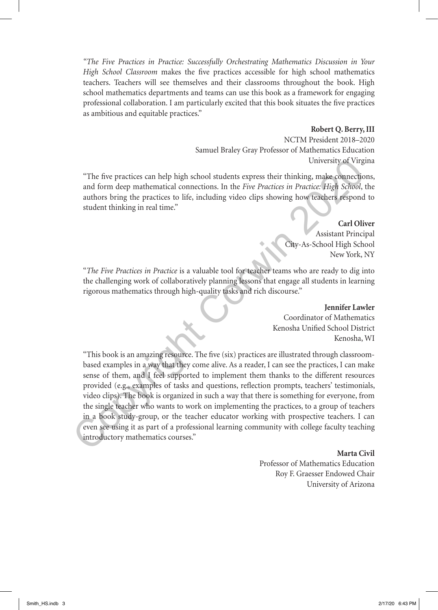*"The Five Practices in Practice: Successfully Orchestrating Mathematics Discussion in Your High School Classroom* makes the five practices accessible for high school mathematics teachers. Teachers will see themselves and their classrooms throughout the book. High school mathematics departments and teams can use this book as a framework for engaging professional collaboration. I am particularly excited that this book situates the five practices as ambitious and equitable practices."

### **Robert Q. Berry, III**

NCTM President 2018–2020 Samuel Braley Gray Professor of Mathematics Education University of Virgina

"The five practices can help high school students express their thinking, make connections, and form deep mathematical connections. In the *Five Practices in Practice: High School*, the authors bring the practices to life, including video clips showing how teachers respond to student thinking in real time."

> **Carl Oliver** Assistant Principal City-As-School High School New York, NY

"*The Five Practices in Practice* is a valuable tool for teacher teams who are ready to dig into the challenging work of collaboratively planning lessons that engage all students in learning rigorous mathematics through high-quality tasks and rich discourse."

> **Jennifer Lawler** Coordinator of Mathematics Kenosha Unified School District Kenosha, WI

"This book is an amazing resource. The five (six) practices are illustrated through classroombased examples in a way that they come alive. As a reader, I can see the practices, I can make sense of them, and I feel supported to implement them thanks to the different resources provided (e.g., examples of tasks and questions, reflection prompts, teachers' testimonials, video clips). The book is organized in such a way that there is something for everyone, from the single teacher who wants to work on implementing the practices, to a group of teachers in a book study-group, or the teacher educator working with prospective teachers. I can even see using it as part of a professional learning community with college faculty teaching introductory mathematics courses." University of Virgy and form deep mathematical connections. In the Five Practices in Fractices in Fractices in Pactices in Fractices in Fractices in Pactices in Pactices in Pactices in Pactices in Pactices in Pactices and

### **Marta Civil**

Professor of Mathematics Education Roy F. Graesser Endowed Chair University of Arizona